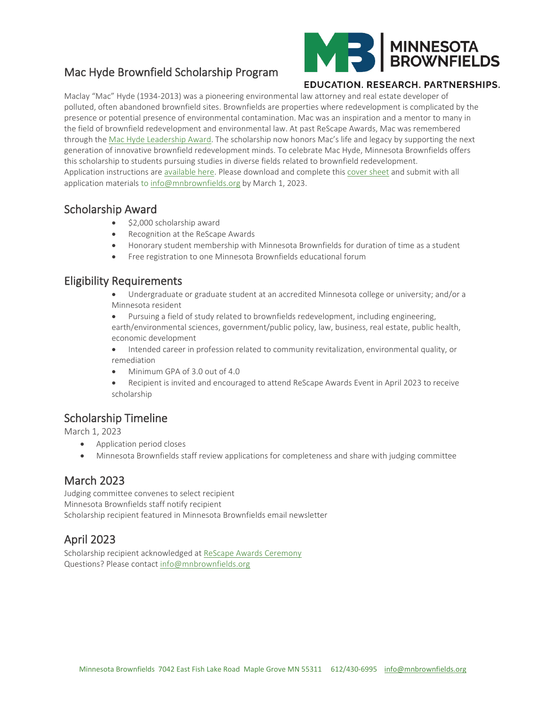## Mac Hyde Brownfield Scholarship Program



#### EDUCATION. RESEARCH. PARTNERSHIPS.

Maclay "Mac" Hyde (1934-2013) was a pioneering environmental law attorney and real estate developer of polluted, often abandoned brownfield sites. Brownfields are properties where redevelopment is complicated by the presence or potential presence of environmental contamination. Mac was an inspiration and a mentor to many in the field of brownfield redevelopment and environmental law. At past ReScape Awards, Mac was remembered through the Mac Hyde [Leadership](https://mnbrownfields.org/mac-hyde-award/) Award. The scholarship now honors Mac's life and legacy by supporting the next generation of innovative brownfield redevelopment minds. To celebrate Mac Hyde, Minnesota Brownfields offers this scholarship to students pursuing studies in diverse fields related to brownfield redevelopment. Application instructions are [available](https://mnbrownfields.org/wp-content/uploads/2019/08/Mac-Hyde-Brownfield-Scholarship-Application-Extended-Deadline.pdf) here. Please download and complete this [cover](https://mnbrownfields.org/wp-content/uploads/2020/05/Mac-Hyde-2020-Cover-Sheet.pdf) sheet and submit with all application materials to [info@mnbrownfields.org](mailto:info@mnbrownfields.org) by March 1, 2023.

### Scholarship Award

- \$2,000 scholarship award
- Recognition at the ReScape Awards
- Honorary student membership with Minnesota Brownfields for duration of time as a student
- Free registration to one Minnesota Brownfields educational forum

#### Eligibility Requirements

• Undergraduate or graduate student at an accredited Minnesota college or university; and/or a Minnesota resident

• Pursuing a field of study related to brownfields redevelopment, including engineering, earth/environmental sciences, government/public policy, law, business, real estate, public health, economic development

• Intended career in profession related to community revitalization, environmental quality, or remediation

- Minimum GPA of 3.0 out of 4.0
- Recipient is invited and encouraged to attend ReScape Awards Event in April 2023 to receive scholarship

## Scholarship Timeline

March 1, 2023

- Application period closes
- Minnesota Brownfields staff review applications for completeness and share with judging committee

March 2023<br>Judging committee convenes to select recipient Minnesota Brownfields staff notify recipient Scholarship recipient featured in Minnesota Brownfields email newsletter

## April 2023

Scholarship recipient acknowledged at ReScape Awards Ceremony Questions? Please contact [info@mnbrownfields.org](mailto:info@mnbrownfields.org)